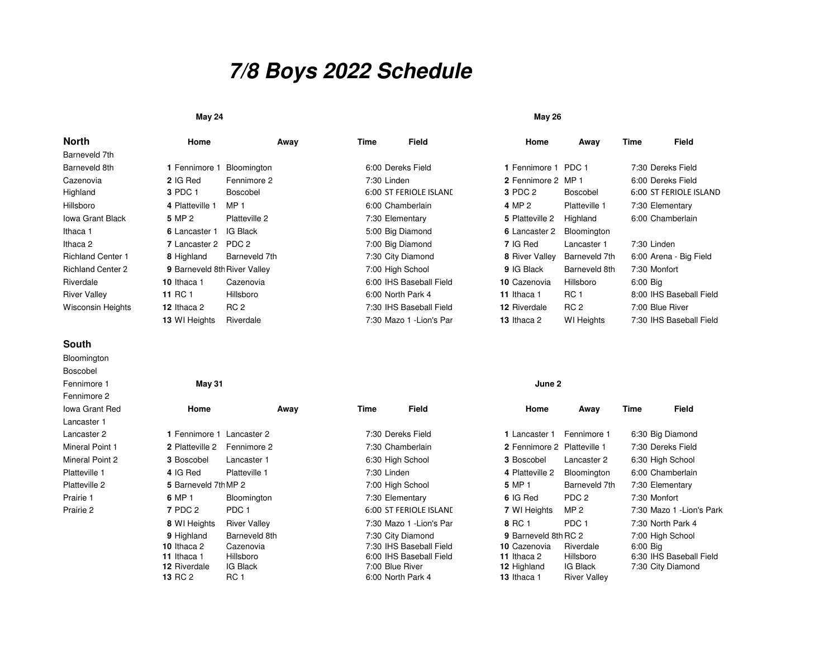# **7/8 Boys 2022 Schedule**

#### **May 24May 26**

| North                    | Home                         | Away             | Time        | Field                    | Home                | Away              | Time         | Field                   |
|--------------------------|------------------------------|------------------|-------------|--------------------------|---------------------|-------------------|--------------|-------------------------|
| Barneveld 7th            |                              |                  |             |                          |                     |                   |              |                         |
| Barneveld 8th            | 1 Fennimore 1                | Bloomington      |             | 6:00 Dereks Field        | 1 Fennimore 1       | PDC 1             |              | 7:30 Dereks Field       |
| Cazenovia                | 2 IG Red                     | Fennimore 2      | 7:30 Linden |                          | 2 Fennimore 2 MP 1  |                   |              | 6:00 Dereks Field       |
| Highland                 | 3 PDC 1                      | <b>Boscobel</b>  |             | 6:00 ST FERIOLE ISLAND   | 3 PDC 2             | Boscobel          |              | 6:00 ST FERIOLE ISLAND  |
| Hillsboro                | 4 Platteville 1              | MP <sub>1</sub>  |             | 6:00 Chamberlain         | 4 MP 2              | Platteville 1     |              | 7:30 Elementary         |
| <b>Iowa Grant Black</b>  | 5 MP 2                       | Platteville 2    |             | 7:30 Elementary          | 5 Platteville 2     | Highland          |              | 6:00 Chamberlain        |
| Ithaca 1                 | 6 Lancaster 1                | IG Black         |             | 5:00 Big Diamond         | 6 Lancaster 2       | Bloomington       |              |                         |
| Ithaca 2                 | 7 Lancaster 2                | PDC <sub>2</sub> |             | 7:00 Big Diamond         | 7 IG Red            | Lancaster 1       | 7:30 Linden  |                         |
| <b>Richland Center 1</b> | 8 Highland                   | Barneveld 7th    |             | 7:30 City Diamond        | 8 River Valley      | Barneveld 7th     |              | 6:00 Arena - Big Field  |
| <b>Richland Center 2</b> | 9 Barneveld 8th River Valley |                  |             | 7:00 High School         | 9 IG Black          | Barneveld 8th     | 7:30 Monfort |                         |
| Riverdale                | 10 Ithaca 1                  | Cazenovia        |             | 6:00 IHS Baseball Field  | 10 Cazenovia        | Hillsboro         | $6:00$ Big   |                         |
| <b>River Valley</b>      | <b>11 RC 1</b>               | Hillsboro        |             | 6:00 North Park 4        | 11 Ithaca 1         | RC <sub>1</sub>   |              | 8:00 IHS Baseball Field |
| <b>Wisconsin Heights</b> | 12 Ithaca 2                  | RC <sub>2</sub>  |             | 7:30 IHS Baseball Field  | <b>12 Riverdale</b> | RC <sub>2</sub>   |              | 7:00 Blue River         |
|                          | 13 WI Heights                | Riverdale        |             | 7:30 Mazo 1 - Lion's Par | 13 Ithaca 2         | <b>WI</b> Heights |              | 7:30 IHS Baseball Field |

### **South**

 BloomingtonBoscobelFennimore 1Fennimore 2 Iowa Grant RedLancaster 1 Lancaster 2Mineral Point 1Mineral Point 2Platteville 1Platteville 2Prairie 1Prairie 2

**13**

| ıore 1   | May 31                    |                     |             |                          | June 2                      |                  |          |                           |
|----------|---------------------------|---------------------|-------------|--------------------------|-----------------------------|------------------|----------|---------------------------|
| iore 2   |                           |                     |             |                          |                             |                  |          |                           |
| rant Red | Home                      | Away                | Time        | Field                    | Home                        | Away             | Time     | Field                     |
| ter 1    |                           |                     |             |                          |                             |                  |          |                           |
| ter 2    | 1 Fennimore 1 Lancaster 2 |                     |             | 7:30 Dereks Field        | <b>1</b> Lancaster 1        | Fennimore 1      |          | 6:30 Big Diamond          |
| Point 1  | 2 Platteville 2           | Fennimore 2         |             | 7:30 Chamberlain         | 2 Fennimore 2 Platteville 1 |                  |          | 7:30 Dereks Field         |
| Point 2  | 3 Boscobel                | Lancaster 1         |             | 6:30 High School         | 3 Boscobel                  | Lancaster 2      |          | 6:30 High School          |
| ille 1   | 4 IG Red                  | Platteville 1       | 7:30 Linden |                          | 4 Platteville 2             | Bloomington      |          | 6:00 Chamberlain          |
| lle 2    | 5 Barneveld 7th MP 2      |                     |             | 7:00 High School         | 5 MP 1                      | Barneveld 7th    |          | 7:30 Elementary           |
|          | 6 MP 1                    | Bloomington         |             | 7:30 Elementary          | 6 IG Red                    | PDC 2            |          | 7:30 Monfort              |
|          | <b>7 PDC 2</b>            | PDC <sub>1</sub>    |             | 6:00 ST FERIOLE ISLAND   | 7 WI Heights                | MP <sub>2</sub>  |          | 7:30 Mazo 1 - Lion's Park |
|          | 8 WI Heights              | <b>River Valley</b> |             | 7:30 Mazo 1 - Lion's Par | 8 RC 1                      | PDC <sub>1</sub> |          | 7:30 North Park 4         |
|          | 9 Highland                | Barneveld 8th       |             | 7:30 City Diamond        | 9 Barneveld 8th RC 2        |                  |          | 7:00 High School          |
|          | 10 Ithaca 2               | Cazenovia           |             | 7:30 IHS Baseball Field  | 10 Cazenovia                | Riverdale        | 6:00 Big |                           |
|          | 11 Ithaca 1               | Hillsboro           |             | 6:00 IHS Baseball Field  | 11 Ithaca 2                 | Hillsboro        |          | 6:30 IHS Baseball Field   |
|          | 12 Riverdale              | IG Black            |             | 7:00 Blue River          | 12 Highland                 | IG Black         |          | 7:30 City Diamond         |

Riverdale IG Black 7:00 Blue River **<sup>12</sup>** Highland IG Black 7:30 City Diamond

RC 1 **1** 6:00 North Park 4 **13** Ithaca 1 River Valley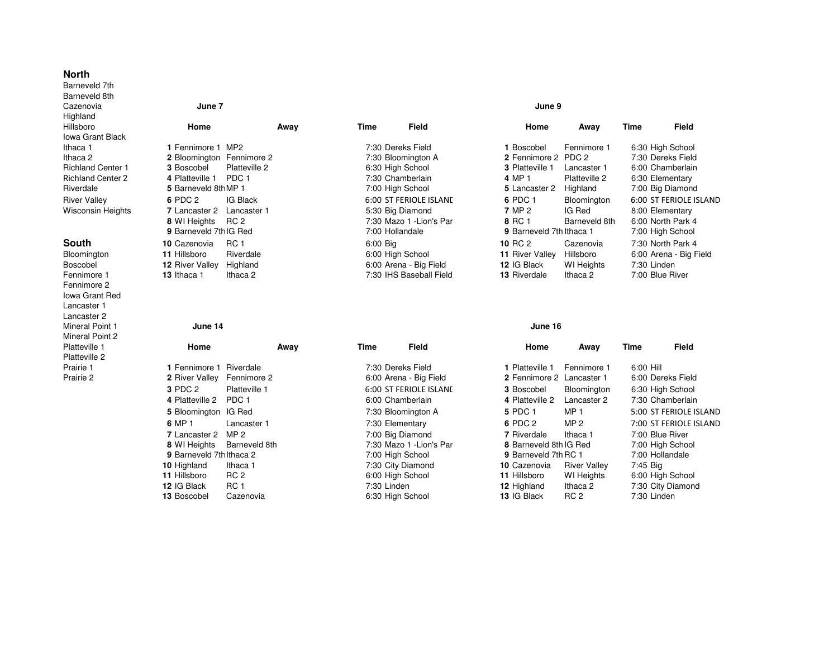### **North**

 Barneveld 7th Barneveld 8thCazenovia **June 7 June 9** Highland HillsboroIowa Grant BlackIthaca 1Ithaca 2Richland Center 1Richland Center 2RiverdaleRiver Valley **<sup>6</sup>**Wisconsin Heights

## **South**

BloomingtonBoscobel **12**Fennimore 1Fennimore 2 Iowa Grant RedLancaster 1 Lancaster 2 Mineral Point 1Mineral Point 2Platteville 1Platteville 2Prairie 1Prairie 2

| ro           | Home                            | Away            | Time     | Field                |
|--------------|---------------------------------|-----------------|----------|----------------------|
| irant Black  |                                 |                 |          |                      |
| 1            | 1 Fennimore 1 MP2               |                 |          | 7:30 Dereks Field    |
| 2            | 2 Bloomington Fennimore 2       |                 |          | 7:30 Bloomington A   |
| าd Center 1  | <b>3 Boscobel</b>               | Platteville 2   |          | 6:30 High School     |
| าd Center 2  | 4 Platteville 1 PDC 1           |                 |          | 7:30 Chamberlain     |
| ale          | 5 Barneveld 8th MP 1            |                 |          | 7:00 High School     |
| /allev       | 6 PDC 2                         | <b>IG Black</b> |          | 6:00 ST FERIOLE ISL  |
| าsin Heights | 7 Lancaster 2 Lancaster 1       |                 |          | 5:30 Big Diamond     |
|              | 8 WI Heights RC 2               |                 |          | 7:30 Mazo 1 - Lion's |
|              | 9 Barneveld 7th IG Red          |                 |          | 7:00 Hollandale      |
| າ            | 10 Cazenovia                    | <b>RC 1</b>     | 6:00 Big |                      |
| ngton        | 11 Hillsboro                    | Riverdale       |          | 6:00 High School     |
| bel          | <b>12 River Valley Highland</b> |                 |          | 6:00 Arena - Big Fie |
| าore 1       | 13 Ithaca 1                     | Ithaca 2        |          | 7:30 IHS Baseball F  |

### **June 14 June 16**

|   | Home                              | Away            | Time | Field                   |
|---|-----------------------------------|-----------------|------|-------------------------|
| 2 |                                   |                 |      |                         |
|   | 1 Fennimore 1 Riverdale           |                 |      | 7:30 Dereks Field       |
|   | <b>2</b> River Valley Fennimore 2 |                 |      | 6:00 Arena - Big Field  |
|   | <b>3 PDC 2</b>                    | Platteville 1   |      | 6:00 ST FERIOLE ISLAN   |
|   | 4 Platteville 2 PDC 1             |                 |      | 6:00 Chamberlain        |
|   | 5 Bloomington IG Red              |                 |      | 7:30 Bloomington A      |
|   | 6 MP 1                            | Lancaster 1     |      | 7:30 Elementary         |
|   | 7 Lancaster 2                     | MP <sub>2</sub> |      | 7:00 Big Diamond        |
|   | 8 WI Heights Barneveld 8th        |                 |      | 7:30 Mazo 1 - Lion's Pa |
|   | <b>9</b> Barneveld 7th Ithaca 2   |                 |      | 7:00 High School        |
|   | 10 Highland                       | Ithaca 1        |      | 7:30 City Diamond       |
|   | 11 Hillsboro                      | RC 2            |      | 6:00 High School        |
|   | 12 IG Black                       | <b>RC 1</b>     |      | 7:30 Linden             |
|   | 13 Boscobel                       | Cazenovia       |      | 6:30 High School        |

|          | 7:30 Dereks Field             |
|----------|-------------------------------|
|          | 7:30 Bloomington A            |
|          | 6:30 High School              |
|          | 7:30 Chamberlain              |
|          | 7:00 High School              |
|          | <b>6:00 ST FERIOLE ISLANE</b> |
|          | 5:30 Big Diamond              |
|          | 7:30 Mazo 1 - Lion's Par      |
|          | 7:00 Hollandale               |
| 6:00 Big |                               |
|          | 6:00 High School              |
|          | 6:00 Arena - Big Field        |
|          | 7:30 IHS Baseball Field       |

| oro          | Home                      | Away            | Time     | Field                    | Home                     | Away              | Time        | Field                  |
|--------------|---------------------------|-----------------|----------|--------------------------|--------------------------|-------------------|-------------|------------------------|
| Grant Black  |                           |                 |          |                          |                          |                   |             |                        |
|              | 1 Fennimore 1 MP2         |                 |          | 7:30 Dereks Field        | 1 Boscobel               | Fennimore 1       |             | 6:30 High School       |
| 2            | 2 Bloomington Fennimore 2 |                 |          | 7:30 Bloomington A       | 2 Fennimore 2 PDC 2      |                   |             | 7:30 Dereks Field      |
| nd Center 1  | 3 Boscobel                | Platteville 2   |          | 6:30 High School         | <b>3</b> Platteville 1   | Lancaster 1       |             | 6:00 Chamberlain       |
| nd Center 2  | 4 Platteville 1           | PDC 1           |          | 7:30 Chamberlain         | 4 MP 1                   | Platteville 2     |             | 6:30 Elementary        |
| lale         | 5 Barneveld 8th MP 1      |                 |          | 7:00 High School         | 5 Lancaster 2            | Highland          |             | 7:00 Big Diamond       |
| Valley       | 6 PDC 2                   | <b>IG Black</b> |          | 6:00 ST FERIOLE ISLAND   | 6 PDC 1                  | Bloomington       |             | 6:00 ST FERIOLE ISLAND |
| nsin Heights | <b>7</b> Lancaster 2      | Lancaster 1     |          | 5:30 Big Diamond         | 7 MP 2                   | IG Red            |             | 8:00 Elementary        |
|              | 8 WI Heights              | RC 2            |          | 7:30 Mazo 1 - Lion's Par | 8 RC 1                   | Barneveld 8th     |             | 6:00 North Park 4      |
|              | 9 Barneveld 7th IG Red    |                 |          | 7:00 Hollandale          | 9 Barneveld 7th Ithaca 1 |                   |             | 7:00 High School       |
| h.           | 10 Cazenovia              | <b>RC 1</b>     | 6:00 Big |                          | 10 RC 2                  | Cazenovia         |             | 7:30 North Park 4      |
| ington       | 11 Hillsboro              | Riverdale       |          | 6:00 High School         | 11 River Valley          | Hillsboro         |             | 6:00 Arena - Big Field |
| bel          | <b>12 River Valley</b>    | Highland        |          | 6:00 Arena - Big Field   | 12 IG Black              | <b>WI</b> Heights | 7:30 Linden |                        |
| nore 1       | 13 Ithaca 1               | Ithaca 2        |          | 7:30 IHS Baseball Field  | <b>13 Riverdale</b>      | Ithaca 2          |             | 7:00 Blue River        |
|              |                           |                 |          |                          |                          |                   |             |                        |

| lle 1 | Home                        | Away            | Time        | Field                    | Home                 | Away                      | <b>Time</b> | <b>Field</b>           |
|-------|-----------------------------|-----------------|-------------|--------------------------|----------------------|---------------------------|-------------|------------------------|
| lle 2 |                             |                 |             |                          |                      |                           |             |                        |
|       | 1 Fennimore 1 Riverdale     |                 |             | 7:30 Dereks Field        | 1 Platteville 1      | Fennimore 1               | 6:00 Hill   |                        |
|       | 2 River Valley Fennimore 2  |                 |             | 6:00 Arena - Big Field   |                      | 2 Fennimore 2 Lancaster 1 |             | 6:00 Dereks Field      |
|       | 3 PDC 2                     | Platteville 1   |             | 6:00 ST FERIOLE ISLAND   | 3 Boscobel           | Bloomington               |             | 6:30 High School       |
|       | 4 Platteville 2 PDC 1       |                 |             | 6:00 Chamberlain         | 4 Platteville 2      | Lancaster 2               |             | 7:30 Chamberlain       |
|       | <b>5</b> Bloomington IG Red |                 |             | 7:30 Bloomington A       | 5 PDC 1              | MP <sub>1</sub>           |             | 5:00 ST FERIOLE ISLAND |
|       | 6 MP 1                      | Lancaster 1     |             | 7:30 Elementary          | 6 PDC 2              | MP <sub>2</sub>           |             | 7:00 ST FERIOLE ISLAND |
|       | <b>7</b> Lancaster 2 MP 2   |                 |             | 7:00 Big Diamond         | <b>7</b> Riverdale   | Ithaca 1                  |             | 7:00 Blue River        |
|       | 8 WI Heights                | Barneveld 8th   |             | 7:30 Mazo 1 - Lion's Par |                      | 8 Barneveld 8th IG Red    |             | 7:00 High School       |
|       | 9 Barneveld 7th Ithaca 2    |                 |             | 7:00 High School         | 9 Barneveld 7th RC 1 |                           |             | 7:00 Hollandale        |
|       | 10 Highland                 | Ithaca 1        |             | 7:30 City Diamond        | 10 Cazenovia         | <b>River Valley</b>       | 7:45 Big    |                        |
|       | 11 Hillsboro                | RC <sub>2</sub> |             | 6:00 High School         | 11 Hillsboro         | WI Heights                |             | 6:00 High School       |
|       | 12 IG Black                 | RC <sub>1</sub> | 7:30 Linden |                          | 12 Highland          | Ithaca 2                  |             | 7:30 City Diamond      |
|       | 13 Boscobel                 | Cazenovia       |             | 6:30 High School         | 13 IG Black          | RC <sub>2</sub>           | 7:30 Linden |                        |
|       |                             |                 |             |                          |                      |                           |             |                        |